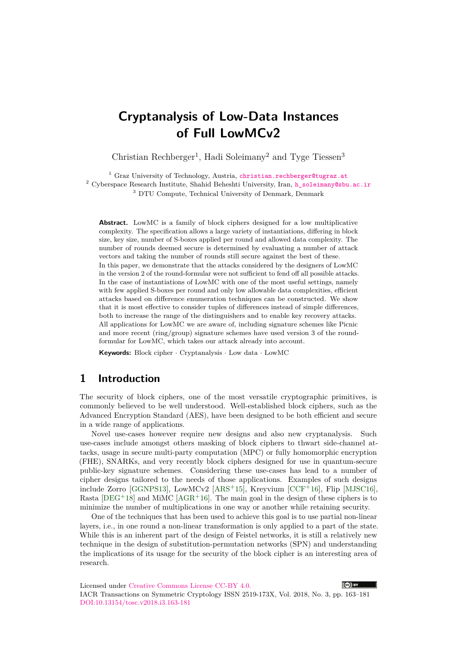# **Cryptanalysis of Low-Data Instances of Full LowMCv2**

Christian Rechberger<sup>1</sup>, Hadi Soleimany<sup>2</sup> and Tyge Tiessen<sup>3</sup>

<sup>1</sup> Graz University of Technology, Austria, [christian.rechberger@tugraz.at](mailto:christian.rechberger@tugraz.at)  $^2$  Cyberspace Research Institute, Shahid Beheshti University, Iran, [h\\_soleimany@sbu.ac.ir](mailto:h_soleimany@sbu.ac.ir) <sup>3</sup> DTU Compute, Technical University of Denmark, Denmark

**Abstract.** LowMC is a family of block ciphers designed for a low multiplicative complexity. The specification allows a large variety of instantiations, differing in block size, key size, number of S-boxes applied per round and allowed data complexity. The number of rounds deemed secure is determined by evaluating a number of attack vectors and taking the number of rounds still secure against the best of these. In this paper, we demonstrate that the attacks considered by the designers of LowMC in the version 2 of the round-formular were not sufficient to fend off all possible attacks. In the case of instantiations of LowMC with one of the most useful settings, namely with few applied S-boxes per round and only low allowable data complexities, efficient attacks based on difference enumeration techniques can be constructed. We show that it is most effective to consider tuples of differences instead of simple differences, both to increase the range of the distinguishers and to enable key recovery attacks. All applications for LowMC we are aware of, including signature schemes like Picnic and more recent (ring/group) signature schemes have used version 3 of the roundformular for LowMC, which takes our attack already into account.

**Keywords:** Block cipher · Cryptanalysis · Low data · LowMC

# **1 Introduction**

The security of block ciphers, one of the most versatile cryptographic primitives, is commonly believed to be well understood. Well-established block ciphers, such as the Advanced Encryption Standard (AES), have been designed to be both efficient and secure in a wide range of applications.

Novel use-cases however require new designs and also new cryptanalysis. Such use-cases include amongst others masking of block ciphers to thwart side-channel attacks, usage in secure multi-party computation (MPC) or fully homomorphic encryption (FHE), SNARKs, and very recently block ciphers designed for use in quantum-secure public-key signature schemes. Considering these use-cases has lead to a number of cipher designs tailored to the needs of those applications. Examples of such designs include Zorro [\[GGNPS13\]](#page-18-0), LowMCv2 [\[ARS](#page-16-0)<sup>+</sup>15], Kreyvium [\[CCF](#page-16-1)<sup>+</sup>16], Flip [\[MJSC16\]](#page-18-1), Rasta  $[DEG^+18]$  $[DEG^+18]$  and MiMC  $[AGR^+16]$  $[AGR^+16]$ . The main goal in the design of these ciphers is to minimize the number of multiplications in one way or another while retaining security.

One of the techniques that has been used to achieve this goal is to use partial non-linear layers, i.e., in one round a non-linear transformation is only applied to a part of the state. While this is an inherent part of the design of Feistel networks, it is still a relatively new technique in the design of substitution-permutation networks (SPN) and understanding the implications of its usage for the security of the block cipher is an interesting area of research.

Licensed under [Creative Commons License CC-BY 4.0.](http://creativecommons.org/licenses/by/4.0/)  $\left( \operatorname*{cc}\right)$   $\operatorname*{BY}$ IACR Transactions on Symmetric Cryptology ISSN 2519-173X, Vol. 2018, No. 3, pp. 163–181 [DOI:10.13154/tosc.v2018.i3.163-181](https://doi.org/10.13154/tosc.v2018.i3.163-181)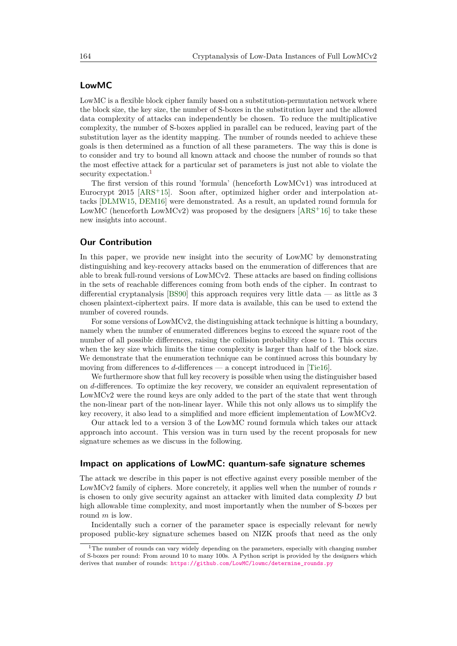# **LowMC**

LowMC is a flexible block cipher family based on a substitution-permutation network where the block size, the key size, the number of S-boxes in the substitution layer and the allowed data complexity of attacks can independently be chosen. To reduce the multiplicative complexity, the number of S-boxes applied in parallel can be reduced, leaving part of the substitution layer as the identity mapping. The number of rounds needed to achieve these goals is then determined as a function of all these parameters. The way this is done is to consider and try to bound all known attack and choose the number of rounds so that the most effective attack for a particular set of parameters is just not able to violate the security expectation.<sup>[1](#page-1-0)</sup>

The first version of this round 'formula' (henceforth LowMCv1) was introduced at Eurocrypt 2015 [\[ARS](#page-16-0)<sup>+</sup>15]. Soon after, optimized higher order and interpolation attacks [\[DLMW15,](#page-17-1) [DEM16\]](#page-17-2) were demonstrated. As a result, an updated round formula for LowMC (henceforth LowMCv2) was proposed by the designers  $[ARS<sup>+</sup>16]$  $[ARS<sup>+</sup>16]$  to take these new insights into account.

# **Our Contribution**

In this paper, we provide new insight into the security of LowMC by demonstrating distinguishing and key-recovery attacks based on the enumeration of differences that are able to break full-round versions of LowMCv2. These attacks are based on finding collisions in the sets of reachable differences coming from both ends of the cipher. In contrast to differential cryptanalysis [\[BS90\]](#page-16-4) this approach requires very little data — as little as  $3$ chosen plaintext-ciphertext pairs. If more data is available, this can be used to extend the number of covered rounds.

For some versions of LowMCv2, the distinguishing attack technique is hitting a boundary, namely when the number of enumerated differences begins to exceed the square root of the number of all possible differences, raising the collision probability close to 1. This occurs when the key size which limits the time complexity is larger than half of the block size. We demonstrate that the enumeration technique can be continued across this boundary by moving from differences to *d*-differences — a concept introduced in [\[Tie16\]](#page-18-2).

We furthermore show that full key recovery is possible when using the distinguisher based on *d*-differences. To optimize the key recovery, we consider an equivalent representation of LowMCv<sub>2</sub> were the round keys are only added to the part of the state that went through the non-linear part of the non-linear layer. While this not only allows us to simplify the key recovery, it also lead to a simplified and more efficient implementation of LowMCv2.

Our attack led to a version 3 of the LowMC round formula which takes our attack approach into account. This version was in turn used by the recent proposals for new signature schemes as we discuss in the following.

# **Impact on applications of LowMC: quantum-safe signature schemes**

The attack we describe in this paper is not effective against every possible member of the LowMCv2 family of ciphers. More concretely, it applies well when the number of rounds *r* is chosen to only give security against an attacker with limited data complexity *D* but high allowable time complexity, and most importantly when the number of S-boxes per round *m* is low.

Incidentally such a corner of the parameter space is especially relevant for newly proposed public-key signature schemes based on NIZK proofs that need as the only

<span id="page-1-0"></span><sup>&</sup>lt;sup>1</sup>The number of rounds can vary widely depending on the parameters, especially with changing number of S-boxes per round: From around 10 to many 100s. A Python script is provided by the designers which derives that number of rounds: [https://github.com/LowMC/lowmc/determine\\_rounds.py](https://github.com/LowMC/lowmc/determine_rounds.py)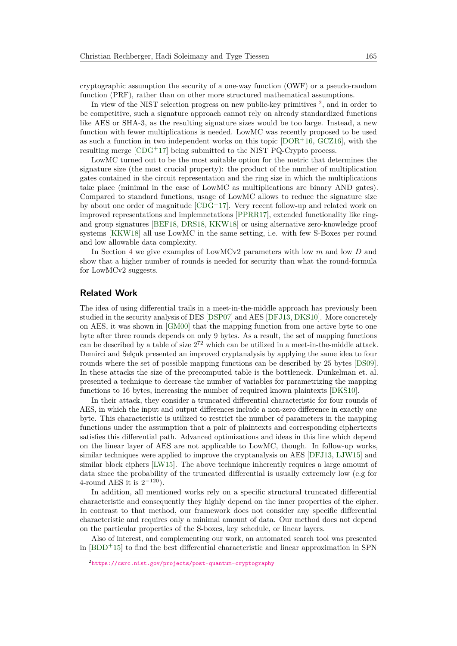cryptographic assumption the security of a one-way function (OWF) or a pseudo-random function (PRF), rather than on other more structured mathematical assumptions.

In view of the NIST selection progress on new public-key primitives <sup>[2](#page-2-0)</sup>, and in order to be competitive, such a signature approach cannot rely on already standardized functions like AES or SHA-3, as the resulting signature sizes would be too large. Instead, a new function with fewer multiplications is needed. LowMC was recently proposed to be used as such a function in two independent works on this topic  $[DOR<sup>+</sup>16, GCZ16]$  $[DOR<sup>+</sup>16, GCZ16]$  $[DOR<sup>+</sup>16, GCZ16]$ , with the resulting merge  $[CDG+17]$  $[CDG+17]$  being submitted to the NIST PQ-Crypto process.

LowMC turned out to be the most suitable option for the metric that determines the signature size (the most crucial property): the product of the number of multiplication gates contained in the circuit representation and the ring size in which the multiplications take place (minimal in the case of LowMC as multiplications are binary AND gates). Compared to standard functions, usage of LowMC allows to reduce the signature size by about one order of magnitude [\[CDG](#page-17-4)<sup>+</sup>17]. Very recent follow-up and related work on improved representations and implemnetations [\[PPRR17\]](#page-18-4), extended functionality like ringand group signatures [\[BEF18,](#page-16-5) [DRS18,](#page-17-5) [KKW18\]](#page-18-5) or using alternative zero-knowledge proof systems [\[KKW18\]](#page-18-5) all use LowMC in the same setting, i.e. with few S-Boxes per round and low allowable data complexity.

In Section [4](#page-10-0) we give examples of LowMCv2 parameters with low *m* and low *D* and show that a higher number of rounds is needed for security than what the round-formula for LowMCv2 suggests.

### **Related Work**

The idea of using differential trails in a meet-in-the-middle approach has previously been studied in the security analysis of DES [\[DSP07\]](#page-17-6) and AES [\[DFJ13,](#page-17-7) [DKS10\]](#page-17-8). More concretely on AES, it was shown in [\[GM00\]](#page-18-6) that the mapping function from one active byte to one byte after three rounds depends on only 9 bytes. As a result, the set of mapping functions can be described by a table of size  $2^{72}$  which can be utilized in a meet-in-the-middle attack. Demirci and Selçuk presented an improved cryptanalysis by applying the same idea to four rounds where the set of possible mapping functions can be described by 25 bytes [\[DS09\]](#page-17-9). In these attacks the size of the precomputed table is the bottleneck. Dunkelman et. al. presented a technique to decrease the number of variables for parametrizing the mapping functions to 16 bytes, increasing the number of required known plaintexts [\[DKS10\]](#page-17-8).

In their attack, they consider a truncated differential characteristic for four rounds of AES, in which the input and output differences include a non-zero difference in exactly one byte. This characteristic is utilized to restrict the number of parameters in the mapping functions under the assumption that a pair of plaintexts and corresponding ciphertexts satisfies this differential path. Advanced optimizations and ideas in this line which depend on the linear layer of AES are not applicable to LowMC, though. In follow-up works, similar techniques were applied to improve the cryptanalysis on AES [\[DFJ13,](#page-17-7) [LJW15\]](#page-18-7) and similar block ciphers [\[LW15\]](#page-18-8). The above technique inherently requires a large amount of data since the probability of the truncated differential is usually extremely low (e.g for 4-round AES it is  $2^{-120}$ ).

In addition, all mentioned works rely on a specific structural truncated differential characteristic and consequently they highly depend on the inner properties of the cipher. In contrast to that method, our framework does not consider any specific differential characteristic and requires only a minimal amount of data. Our method does not depend on the particular properties of the S-boxes, key schedule, or linear layers.

Also of interest, and complementing our work, an automated search tool was presented in  $[BDD+15]$  $[BDD+15]$  to find the best differential characteristic and linear approximation in SPN

<span id="page-2-0"></span><sup>2</sup><https://csrc.nist.gov/projects/post-quantum-cryptography>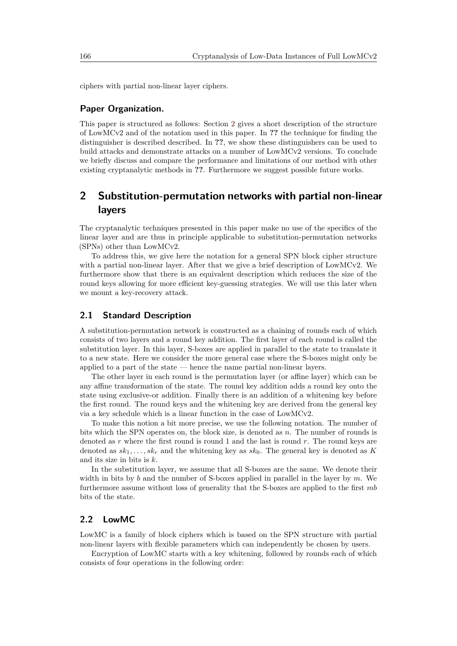ciphers with partial non-linear layer ciphers.

# **Paper Organization.**

This paper is structured as follows: Section [2](#page-3-0) gives a short description of the structure of LowMCv2 and of the notation used in this paper. In **??** the technique for finding the distinguisher is described described. In **??**, we show these distinguishers can be used to build attacks and demonstrate attacks on a number of LowMCv2 versions. To conclude we briefly discuss and compare the performance and limitations of our method with other existing cryptanalytic methods in **??**. Furthermore we suggest possible future works.

# <span id="page-3-0"></span>**2 Substitution-permutation networks with partial non-linear layers**

The cryptanalytic techniques presented in this paper make no use of the specifics of the linear layer and are thus in principle applicable to substitution-permutation networks (SPNs) other than LowMCv2.

To address this, we give here the notation for a general SPN block cipher structure with a partial non-linear layer. After that we give a brief description of LowMCv2. We furthermore show that there is an equivalent description which reduces the size of the round keys allowing for more efficient key-guessing strategies. We will use this later when we mount a key-recovery attack.

# **2.1 Standard Description**

A substitution-permutation network is constructed as a chaining of rounds each of which consists of two layers and a round key addition. The first layer of each round is called the substitution layer. In this layer, S-boxes are applied in parallel to the state to translate it to a new state. Here we consider the more general case where the S-boxes might only be applied to a part of the state — hence the name partial non-linear layers.

The other layer in each round is the permutation layer (or affine layer) which can be any affine transformation of the state. The round key addition adds a round key onto the state using exclusive-or addition. Finally there is an addition of a whitening key before the first round. The round keys and the whitening key are derived from the general key via a key schedule which is a linear function in the case of LowMCv2.

To make this notion a bit more precise, we use the following notation. The number of bits which the SPN operates on, the block size, is denoted as *n*. The number of rounds is denoted as *r* where the first round is round 1 and the last is round *r*. The round keys are denoted as  $sk_1, \ldots, sk_r$  and the whitening key as  $sk_0$ . The general key is denoted as K and its size in bits is *k*.

In the substitution layer, we assume that all S-boxes are the same. We denote their width in bits by *b* and the number of S-boxes applied in parallel in the layer by *m*. We furthermore assume without loss of generality that the S-boxes are applied to the first *mb* bits of the state.

# **2.2 LowMC**

LowMC is a family of block ciphers which is based on the SPN structure with partial non-linear layers with flexible parameters which can independently be chosen by users.

Encryption of LowMC starts with a key whitening, followed by rounds each of which consists of four operations in the following order: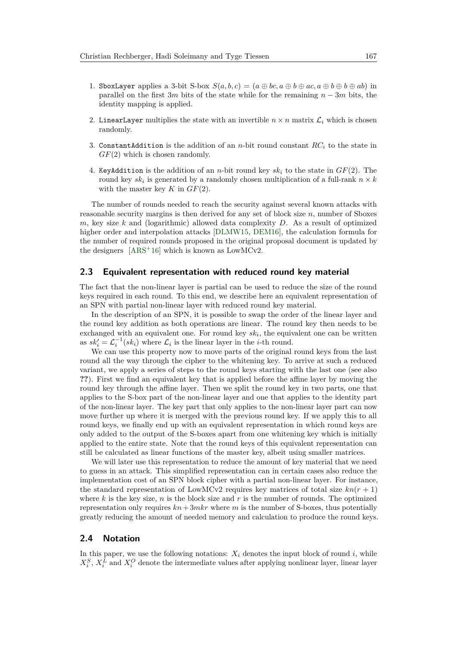- 1. SboxLayer applies a 3-bit S-box  $S(a, b, c) = (a \oplus bc, a \oplus b \oplus ac, a \oplus b \oplus b \oplus ab)$  in parallel on the first 3*m* bits of the state while for the remaining *n* − 3*m* bits, the identity mapping is applied.
- 2. LinearLayer multiplies the state with an invertible  $n \times n$  matrix  $\mathcal{L}_i$  which is chosen randomly.
- 3. ConstantAddition is the addition of an *n*-bit round constant  $RC<sub>i</sub>$  to the state in *GF*(2) which is chosen randomly.
- 4. KeyAddition is the addition of an *n*-bit round key  $sk_i$  to the state in  $GF(2)$ . The round key  $sk_i$  is generated by a randomly chosen multiplication of a full-rank  $n \times k$ with the master key  $K$  in  $GF(2)$ .

The number of rounds needed to reach the security against several known attacks with reasonable security margins is then derived for any set of block size *n*, number of Sboxes *m*, key size *k* and (logarithmic) allowed data complexity *D*. As a result of optimized higher order and interpolation attacks [\[DLMW15,](#page-17-1) [DEM16\]](#page-17-2), the calculation formula for the number of required rounds proposed in the original proposal document is updated by the designers [\[ARS](#page-16-3)<sup>+</sup>16] which is known as LowMCv2.

# **2.3 Equivalent representation with reduced round key material**

The fact that the non-linear layer is partial can be used to reduce the size of the round keys required in each round. To this end, we describe here an equivalent representation of an SPN with partial non-linear layer with reduced round key material.

In the description of an SPN, it is possible to swap the order of the linear layer and the round key addition as both operations are linear. The round key then needs to be exchanged with an equivalent one. For round key *sk<sup>i</sup>* , the equivalent one can be written as  $sk_i' = \mathcal{L}_i^{-1}(sk_i)$  where  $\mathcal{L}_i$  is the linear layer in the *i*-th round.

We can use this property now to move parts of the original round keys from the last round all the way through the cipher to the whitening key. To arrive at such a reduced variant, we apply a series of steps to the round keys starting with the last one (see also **??**). First we find an equivalent key that is applied before the affine layer by moving the round key through the affine layer. Then we split the round key in two parts, one that applies to the S-box part of the non-linear layer and one that applies to the identity part of the non-linear layer. The key part that only applies to the non-linear layer part can now move further up where it is merged with the previous round key. If we apply this to all round keys, we finally end up with an equivalent representation in which round keys are only added to the output of the S-boxes apart from one whitening key which is initially applied to the entire state. Note that the round keys of this equivalent representation can still be calculated as linear functions of the master key, albeit using smaller matrices.

We will later use this representation to reduce the amount of key material that we need to guess in an attack. This simplified representation can in certain cases also reduce the implementation cost of an SPN block cipher with a partial non-linear layer. For instance, the standard representation of LowMCv2 requires key matrices of total size  $kn(r + 1)$ where  $k$  is the key size,  $n$  is the block size and  $r$  is the number of rounds. The optimized representation only requires  $kn + 3mkr$  where *m* is the number of S-boxes, thus potentially greatly reducing the amount of needed memory and calculation to produce the round keys.

### **2.4 Notation**

In this paper, we use the following notations:  $X_i$  denotes the input block of round  $i$ , while  $X_i^S$ ,  $X_i^L$  and  $X_i^O$  denote the intermediate values after applying nonlinear layer, linear layer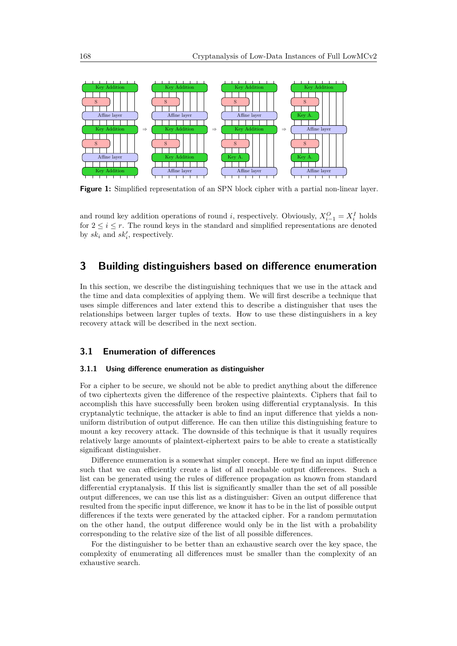

**Figure 1:** Simplified representation of an SPN block cipher with a partial non-linear layer.

and round key addition operations of round *i*, respectively. Obviously,  $X_{i-1}^O = X_i^I$  holds for  $2 \leq i \leq r$ . The round keys in the standard and simplified representations are denoted by  $sk_i$  and  $sk'_i$ , respectively.

# **3 Building distinguishers based on difference enumeration**

In this section, we describe the distinguishing techniques that we use in the attack and the time and data complexities of applying them. We will first describe a technique that uses simple differences and later extend this to describe a distinguisher that uses the relationships between larger tuples of texts. How to use these distinguishers in a key recovery attack will be described in the next section.

# **3.1 Enumeration of differences**

### **3.1.1 Using difference enumeration as distinguisher**

For a cipher to be secure, we should not be able to predict anything about the difference of two ciphertexts given the difference of the respective plaintexts. Ciphers that fail to accomplish this have successfully been broken using differential cryptanalysis. In this cryptanalytic technique, the attacker is able to find an input difference that yields a nonuniform distribution of output difference. He can then utilize this distinguishing feature to mount a key recovery attack. The downside of this technique is that it usually requires relatively large amounts of plaintext-ciphertext pairs to be able to create a statistically significant distinguisher.

Difference enumeration is a somewhat simpler concept. Here we find an input difference such that we can efficiently create a list of all reachable output differences. Such a list can be generated using the rules of difference propagation as known from standard differential cryptanalysis. If this list is significantly smaller than the set of all possible output differences, we can use this list as a distinguisher: Given an output difference that resulted from the specific input difference, we know it has to be in the list of possible output differences if the texts were generated by the attacked cipher. For a random permutation on the other hand, the output difference would only be in the list with a probability corresponding to the relative size of the list of all possible differences.

For the distinguisher to be better than an exhaustive search over the key space, the complexity of enumerating all differences must be smaller than the complexity of an exhaustive search.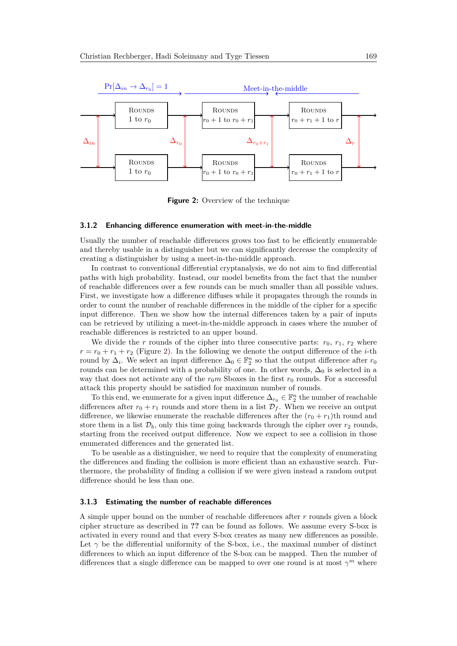<span id="page-6-0"></span>

**Figure 2:** Overview of the technique

#### <span id="page-6-1"></span>**3.1.2 Enhancing difference enumeration with meet-in-the-middle**

Usually the number of reachable differences grows too fast to be efficiently enumerable and thereby usable in a distinguisher but we can significantly decrease the complexity of creating a distinguisher by using a meet-in-the-middle approach.

In contrast to conventional differential cryptanalysis, we do not aim to find differential paths with high probability. Instead, our model benefits from the fact that the number of reachable differences over a few rounds can be much smaller than all possible values. First, we investigate how a difference diffuses while it propagates through the rounds in order to count the number of reachable differences in the middle of the cipher for a specific input difference. Then we show how the internal differences taken by a pair of inputs can be retrieved by utilizing a meet-in-the-middle approach in cases where the number of reachable differences is restricted to an upper bound.

We divide the *r* rounds of the cipher into three consecutive parts:  $r_0$ ,  $r_1$ ,  $r_2$  where  $r = r_0 + r_1 + r_2$  (Figure [2\)](#page-6-0). In the following we denote the output difference of the *i*-th round by  $\Delta_i$ . We select an input difference  $\Delta_0 \in \mathbb{F}_2^n$  so that the output difference after  $r_0$ rounds can be determined with a probability of one. In other words,  $\Delta_0$  is selected in a way that does not activate any of the  $r_0m$  Sboxes in the first  $r_0$  rounds. For a successful attack this property should be satisfied for maximum number of rounds.

To this end, we enumerate for a given input difference  $\Delta_{r_0} \in \mathbb{F}_2^n$  the number of reachable differences after  $r_0 + r_1$  rounds and store them in a list  $\mathcal{D}_f$ . When we receive an output difference, we likewise enumerate the reachable differences after the  $(r_0 + r_1)$ th round and store them in a list  $\mathcal{D}_b$ , only this time going backwards through the cipher over  $r_2$  rounds, starting from the received output difference. Now we expect to see a collision in those enumerated differences and the generated list.

To be useable as a distinguisher, we need to require that the complexity of enumerating the differences and finding the collision is more efficient than an exhaustive search. Furthermore, the probability of finding a collision if we were given instead a random output difference should be less than one.

### **3.1.3 Estimating the number of reachable differences**

A simple upper bound on the number of reachable differences after *r* rounds given a block cipher structure as described in **??** can be found as follows. We assume every S-box is activated in every round and that every S-box creates as many new differences as possible. Let  $\gamma$  be the differential uniformity of the S-box, i.e., the maximal number of distinct differences to which an input difference of the S-box can be mapped. Then the number of differences that a single difference can be mapped to over one round is at most  $\gamma^m$  where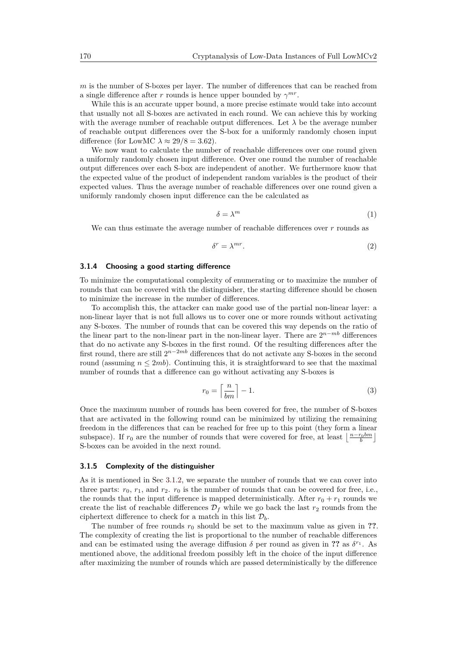*m* is the number of S-boxes per layer. The number of differences that can be reached from a single difference after *r* rounds is hence upper bounded by  $\gamma^{mr}$ .

While this is an accurate upper bound, a more precise estimate would take into account that usually not all S-boxes are activated in each round. We can achieve this by working with the average number of reachable output differences. Let  $\lambda$  be the average number of reachable output differences over the S-box for a uniformly randomly chosen input difference (for LowMC  $\lambda \approx 29/8 = 3.62$ ).

We now want to calculate the number of reachable differences over one round given a uniformly randomly chosen input difference. Over one round the number of reachable output differences over each S-box are independent of another. We furthermore know that the expected value of the product of independent random variables is the product of their expected values. Thus the average number of reachable differences over one round given a uniformly randomly chosen input difference can the be calculated as

$$
\delta = \lambda^m \tag{1}
$$

We can thus estimate the average number of reachable differences over *r* rounds as

$$
\delta^r = \lambda^{mr}.\tag{2}
$$

#### **3.1.4 Choosing a good starting difference**

To minimize the computational complexity of enumerating or to maximize the number of rounds that can be covered with the distinguisher, the starting difference should be chosen to minimize the increase in the number of differences.

To accomplish this, the attacker can make good use of the partial non-linear layer: a non-linear layer that is not full allows us to cover one or more rounds without activating any S-boxes. The number of rounds that can be covered this way depends on the ratio of the linear part to the non-linear part in the non-linear layer. There are  $2^{n-mb}$  differences that do no activate any S-boxes in the first round. Of the resulting differences after the first round, there are still 2 *<sup>n</sup>*−2*mb* differences that do not activate any S-boxes in the second round (assuming  $n \leq 2mb$ ). Continuing this, it is straightforward to see that the maximal number of rounds that a difference can go without activating any S-boxes is

$$
r_0 = \left\lceil \frac{n}{bm} \right\rceil - 1. \tag{3}
$$

Once the maximum number of rounds has been covered for free, the number of S-boxes that are activated in the following round can be minimized by utilizing the remaining freedom in the differences that can be reached for free up to this point (they form a linear subspace). If  $r_0$  are the number of rounds that were covered for free, at least  $\left\lfloor \frac{n-r_0bm}{b} \right\rfloor$ S-boxes can be avoided in the next round.

#### **3.1.5 Complexity of the distinguisher**

As it is mentioned in Sec [3.1.2,](#page-6-1) we separate the number of rounds that we can cover into three parts:  $r_0$ ,  $r_1$ , and  $r_2$ .  $r_0$  is the number of rounds that can be covered for free, i.e., the rounds that the input difference is mapped deterministically. After  $r_0 + r_1$  rounds we create the list of reachable differences  $\mathcal{D}_f$  while we go back the last  $r_2$  rounds from the ciphertext difference to check for a match in this list  $\mathcal{D}_b$ .

The number of free rounds  $r_0$  should be set to the maximum value as given in ??. The complexity of creating the list is proportional to the number of reachable differences and can be estimated using the average diffusion  $\delta$  per round as given in ?? as  $\delta^{r_1}$ . As mentioned above, the additional freedom possibly left in the choice of the input difference after maximizing the number of rounds which are passed deterministically by the difference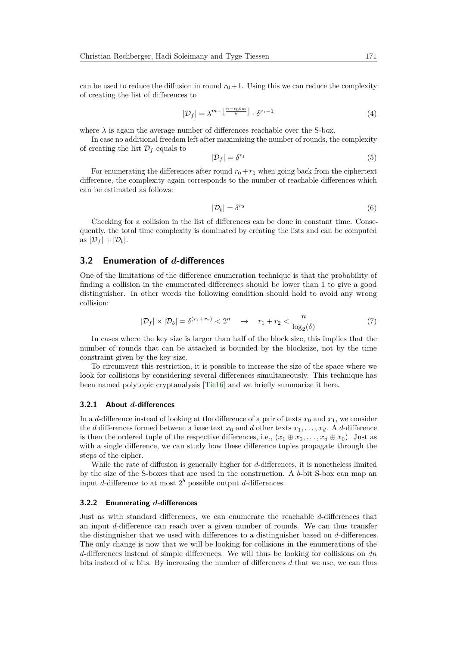can be used to reduce the diffusion in round  $r_0 + 1$ . Using this we can reduce the complexity of creating the list of differences to

$$
|\mathcal{D}_f| = \lambda^{m - \left\lfloor \frac{n - r_0 b m}{b} \right\rfloor} \cdot \delta^{r_1 - 1} \tag{4}
$$

where  $\lambda$  is again the average number of differences reachable over the S-box.

In case no additional freedom left after maximizing the number of rounds, the complexity of creating the list  $\mathcal{D}_f$  equals to

$$
|\mathcal{D}_f| = \delta^{r_1} \tag{5}
$$

For enumerating the differences after round  $r_0 + r_1$  when going back from the ciphertext difference, the complexity again corresponds to the number of reachable differences which can be estimated as follows:

$$
|\mathcal{D}_b| = \delta^{r_2} \tag{6}
$$

Checking for a collision in the list of differences can be done in constant time. Consequently, the total time complexity is dominated by creating the lists and can be computed as  $|\mathcal{D}_f| + |\mathcal{D}_b|$ .

# **3.2 Enumeration of** *d***-differences**

One of the limitations of the difference enumeration technique is that the probability of finding a collision in the enumerated differences should be lower than 1 to give a good distinguisher. In other words the following condition should hold to avoid any wrong collision:

$$
|\mathcal{D}_f| \times |\mathcal{D}_b| = \delta^{(r_1 + r_2)} < 2^n \quad \to \quad r_1 + r_2 < \frac{n}{\log_2(\delta)}\tag{7}
$$

In cases where the key size is larger than half of the block size, this implies that the number of rounds that can be attacked is bounded by the blocksize, not by the time constraint given by the key size.

To circumvent this restriction, it is possible to increase the size of the space where we look for collisions by considering several differences simultaneously. This technique has been named polytopic cryptanalysis [\[Tie16\]](#page-18-2) and we briefly summarize it here.

### **3.2.1 About** *d***-differences**

In a *d*-difference instead of looking at the difference of a pair of texts  $x_0$  and  $x_1$ , we consider the *d* differences formed between a base text  $x_0$  and *d* other texts  $x_1, \ldots, x_d$ . A *d*-difference is then the ordered tuple of the respective differences, i.e.,  $(x_1 \oplus x_0, \ldots, x_d \oplus x_0)$ . Just as with a single difference, we can study how these difference tuples propagate through the steps of the cipher.

While the rate of diffusion is generally higher for *d*-differences, it is nonetheless limited by the size of the S-boxes that are used in the construction. A *b*-bit S-box can map an input *d*-difference to at most  $2^b$  possible output *d*-differences.

### **3.2.2 Enumerating** *d***-differences**

Just as with standard differences, we can enumerate the reachable *d*-differences that an input *d*-difference can reach over a given number of rounds. We can thus transfer the distinguisher that we used with differences to a distinguisher based on *d*-differences. The only change is now that we will be looking for collisions in the enumerations of the *d*-differences instead of simple differences. We will thus be looking for collisions on *dn* bits instead of *n* bits. By increasing the number of differences *d* that we use, we can thus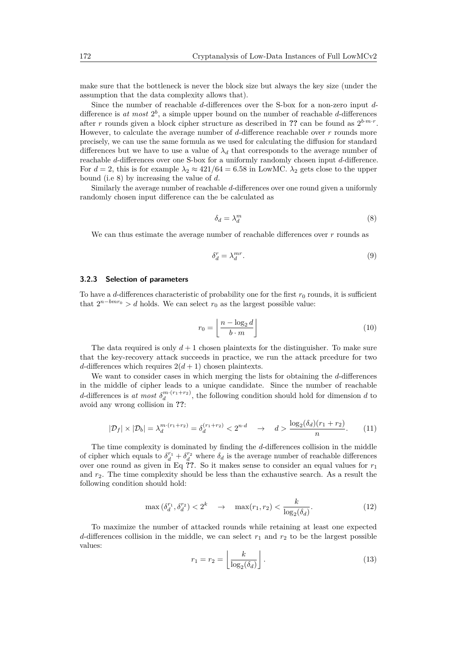make sure that the bottleneck is never the block size but always the key size (under the assumption that the data complexity allows that).

Since the number of reachable *d*-differences over the S-box for a non-zero input *d*difference is *at most*  $2^b$ , a simple upper bound on the number of reachable *d*-differences after *r* rounds given a block cipher structure as described in **??** can be found as 2 *b*·*m*·*r* . However, to calculate the average number of *d*-difference reachable over *r* rounds more precisely, we can use the same formula as we used for calculating the diffusion for standard differences but we have to use a value of  $\lambda_d$  that corresponds to the average number of reachable *d*-differences over one S-box for a uniformly randomly chosen input *d*-difference. For  $d = 2$ , this is for example  $\lambda_2 \approx 421/64 = 6.58$  in LowMC.  $\lambda_2$  gets close to the upper bound (i.e 8) by increasing the value of *d*.

Similarly the average number of reachable *d*-differences over one round given a uniformly randomly chosen input difference can the be calculated as

$$
\delta_d = \lambda_d^m \tag{8}
$$

We can thus estimate the average number of reachable differences over *r* rounds as

$$
\delta_d^r = \lambda_d^{mr}.\tag{9}
$$

#### <span id="page-9-0"></span>**3.2.3 Selection of parameters**

To have a *d*-differences characteristic of probability one for the first  $r_0$  rounds, it is sufficient that  $2^{n-bmr_0} > d$  holds. We can select  $r_0$  as the largest possible value:

$$
r_0 = \left\lfloor \frac{n - \log_2 d}{b \cdot m} \right\rfloor \tag{10}
$$

The data required is only  $d+1$  chosen plaintexts for the distinguisher. To make sure that the key-recovery attack succeeds in practice, we run the attack prcedure for two *d*-differences which requires  $2(d+1)$  chosen plaintexts.

We want to consider cases in which merging the lists for obtaining the *d*-differences in the middle of cipher leads to a unique candidate. Since the number of reachable *d*-differences is *at most*  $\delta_d^{m \cdot (r_1+r_2)}$ , the following condition should hold for dimension *d* to avoid any wrong collision in **??**:

$$
|\mathcal{D}_f| \times |\mathcal{D}_b| = \lambda_d^{m \cdot (r_1 + r_2)} = \delta_d^{(r_1 + r_2)} < 2^{n \cdot d} \quad \to \quad d > \frac{\log_2(\delta_d)(r_1 + r_2)}{n}.\tag{11}
$$

The time complexity is dominated by finding the *d*-differences collision in the middle of cipher which equals to  $\delta_d^{r_1} + \delta_d^{r_2}$  where  $\delta_d$  is the average number of reachable differences over one round as given in Eq **??**. So it makes sense to consider an equal values for *r*<sup>1</sup> and *r*2. The time complexity should be less than the exhaustive search. As a result the following condition should hold:

$$
\max\left(\delta_d^{r_1}, \delta_d^{r_2}\right) < 2^k \quad \to \quad \max(r_1, r_2) < \frac{k}{\log_2(\delta_d)}.\tag{12}
$$

To maximize the number of attacked rounds while retaining at least one expected  $d$ -differences collision in the middle, we can select  $r_1$  and  $r_2$  to be the largest possible values:

$$
r_1 = r_2 = \left\lfloor \frac{k}{\log_2(\delta_d)} \right\rfloor.
$$
 (13)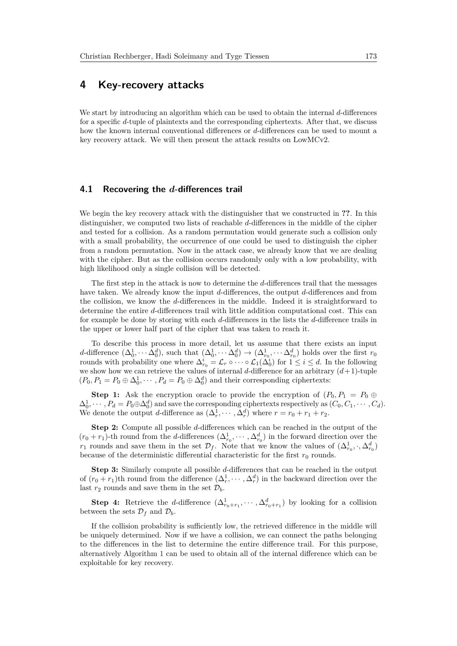# <span id="page-10-0"></span>**4 Key-recovery attacks**

We start by introducing an algorithm which can be used to obtain the internal *d*-differences for a specific *d*-tuple of plaintexts and the corresponding ciphertexts. After that, we discuss how the known internal conventional differences or *d*-differences can be used to mount a key recovery attack. We will then present the attack results on LowMCv2.

# <span id="page-10-1"></span>**4.1 Recovering the** *d***-differences trail**

We begin the key recovery attack with the distinguisher that we constructed in **??**. In this distinguisher, we computed two lists of reachable *d*-differences in the middle of the cipher and tested for a collision. As a random permutation would generate such a collision only with a small probability, the occurrence of one could be used to distinguish the cipher from a random permutation. Now in the attack case, we already know that we are dealing with the cipher. But as the collision occurs randomly only with a low probability, with high likelihood only a single collision will be detected.

The first step in the attack is now to determine the *d*-differences trail that the messages have taken. We already know the input *d*-differences, the output *d*-differences and from the collision, we know the *d*-differences in the middle. Indeed it is straightforward to determine the entire *d*-differences trail with little addition computational cost. This can for example be done by storing with each *d*-differences in the lists the *d*-difference trails in the upper or lower half part of the cipher that was taken to reach it.

To describe this process in more detail, let us assume that there exists an input d-difference  $(\Delta_0^1, \cdots \Delta_0^d)$ , such that  $(\Delta_0^1, \cdots \Delta_0^d) \rightarrow (\Delta_{r_0}^1, \cdots \Delta_{r_0}^d)$  holds over the first  $r_0$ rounds with probability one where  $\Delta_{r_0}^i = \mathcal{L}_r \circ \cdots \circ \mathcal{L}_1(\Delta_0^i)$  for  $1 \leq i \leq d$ . In the following we show how we can retrieve the values of internal *d*-difference for an arbitrary  $(d+1)$ -tuple  $(P_0, P_1 = P_0 \oplus \Delta_0^1, \dots, P_d = P_0 \oplus \Delta_0^d$  and their corresponding ciphertexts:

**Step 1:** Ask the encryption oracle to provide the encryption of  $(P_0, P_1 = P_0 \oplus P_1)$  $\Delta_0^1, \dots, P_d = P_0 \oplus \Delta_0^d$  and save the corresponding ciphertexts respectively as  $(C_0, C_1, \dots, C_d)$ . We denote the output *d*-difference as  $(\Delta_r^1, \cdots, \Delta_r^d)$  where  $r = r_0 + r_1 + r_2$ .

**Step 2:** Compute all possible *d*-differences which can be reached in the output of the  $(r_0 + r_1)$ -th round from the *d*-differences  $(\Delta_{r_0}^1, \dots, \Delta_{r_0}^d)$  in the forward direction over the *r*<sub>1</sub> rounds and save them in the set  $\mathcal{D}_f$ . Note that we know the values of  $(\Delta^1_{r_0}, \cdot, \Delta^d_{r_0})$ because of the deterministic differential characteristic for the first  $r_0$  rounds.

**Step 3:** Similarly compute all possible *d*-differences that can be reached in the output of  $(r_0 + r_1)$ th round from the difference  $(\Delta_r^1, \dots, \Delta_r^d)$  in the backward direction over the last  $r_2$  rounds and save them in the set  $\mathcal{D}_b$ .

**Step 4:** Retrieve the *d*-difference  $(\Delta^1_{r_0+r_1}, \cdots, \Delta^d_{r_0+r_1})$  by looking for a collision between the sets  $\mathcal{D}_f$  and  $\mathcal{D}_b$ .

If the collision probability is sufficiently low, the retrieved difference in the middle will be uniquely determined. Now if we have a collision, we can connect the paths belonging to the differences in the list to determine the entire difference trail. For this purpose, alternatively Algorithm [1](#page-11-0) can be used to obtain all of the internal difference which can be exploitable for key recovery.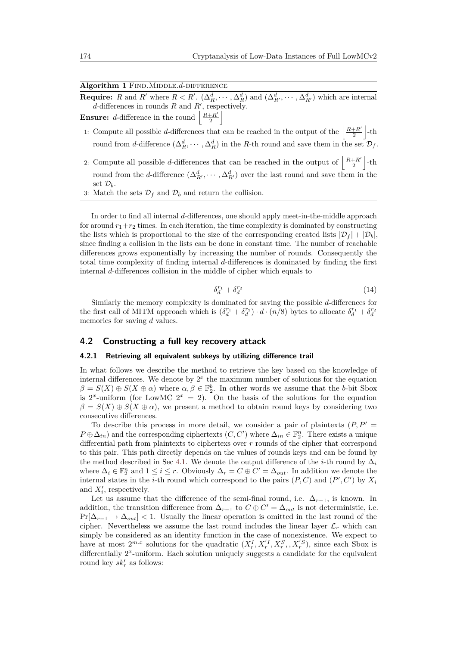<span id="page-11-0"></span>

| Algorithm 1 FIND. MIDDLE. d-DIFFERENCE                                                                                                     |
|--------------------------------------------------------------------------------------------------------------------------------------------|
| <b>Require:</b> R and R' where $R < R'$ . $(\Delta_R^d, \dots, \Delta_R^d)$ and $(\Delta_{R'}^d, \dots, \Delta_{R'}^d)$ which are internal |
| d-differences in rounds $R$ and $R'$ , respectively.                                                                                       |
| <b>Ensure:</b> d-difference in the round $\left \frac{R+R'}{2}\right $                                                                     |
| 1: Compute all possible <i>d</i> -differences that can be reached in the output of the $\left  \frac{R+R'}{2} \right $ -th                 |
| round from d-difference $(\Delta_R^d, \dots, \Delta_R^d)$ in the R-th round and save them in the set $\mathcal{D}_f$ .                     |
| 2. Compute all possible <i>d</i> -differences that can be reached in the output of $\left  \frac{R+R'}{2} \right $ -th                     |

- $\vert$ -th round from the *d*-difference  $(\Delta_{R'}^d, \dots, \Delta_{R'}^d)$  over the last round and save them in the set  $\mathcal{D}_b$ .
- 3: Match the sets  $\mathcal{D}_f$  and  $\mathcal{D}_b$  and return the collision.

In order to find all internal *d*-differences, one should apply meet-in-the-middle approach for around  $r_1+r_2$  times. In each iteration, the time complexity is dominated by constructing the lists which is proportional to the size of the corresponding created lists  $|\mathcal{D}_f| + |\mathcal{D}_b|$ , since finding a collision in the lists can be done in constant time. The number of reachable differences grows exponentially by increasing the number of rounds. Consequently the total time complexity of finding internal *d*-differences is dominated by finding the first internal *d*-differences collision in the middle of cipher which equals to

$$
\delta_d^{r_1} + \delta_d^{r_2} \tag{14}
$$

Similarly the memory complexity is dominated for saving the possible *d*-differences for the first call of MITM approach which is  $(\delta_d^{r_1} + \delta_d^{r_2}) \cdot d \cdot (n/8)$  bytes to allocate  $\delta_d^{r_1} + \delta_d^{r_2}$ memories for saving *d* values.

# <span id="page-11-1"></span>**4.2 Constructing a full key recovery attack**

## **4.2.1 Retrieving all equivalent subkeys by utilizing difference trail**

In what follows we describe the method to retrieve the key based on the knowledge of internal differences. We denote by  $2<sup>x</sup>$  the maximum number of solutions for the equation  $\beta = S(X) \oplus S(X \oplus \alpha)$  where  $\alpha, \beta \in \mathbb{F}_2^b$ . In other words we assume that the *b*-bit Sbox is  $2^x$ -uniform (for LowMC  $2^x = 2$ ). On the basis of the solutions for the equation  $\beta = S(X) \oplus S(X \oplus \alpha)$ , we present a method to obtain round keys by considering two consecutive differences.

To describe this process in more detail, we consider a pair of plaintexts  $(P, P)$  $P \oplus \Delta_{in}$  and the corresponding ciphertexts  $(C, C')$  where  $\Delta_{in} \in \mathbb{F}_2^n$ . There exists a unique differential path from plaintexts to ciphertexs over *r* rounds of the cipher that correspond to this pair. This path directly depends on the values of rounds keys and can be found by the method described in Sec [4.1.](#page-10-1) We denote the output difference of the *i*-th round by  $\Delta_i$ where  $\Delta_i \in \mathbb{F}_2^n$  and  $1 \leq i \leq r$ . Obviously  $\Delta_r = C \oplus C' = \Delta_{out}$ . In addition we denote the internal states in the *i*-th round which correspond to the pairs  $(P, C)$  and  $(P', C')$  by  $X_i$ and  $X'_{i}$ , respectively.

Let us assume that the difference of the semi-final round, i.e.  $\Delta_{r-1}$ , is known. In addition, the transition difference from  $\Delta_{r-1}$  to  $C \oplus C' = \Delta_{out}$  is not deterministic, i.e.  $Pr[\Delta_{r-1} \to \Delta_{out}]$  < 1. Usually the linear operation is omitted in the last round of the cipher. Nevertheless we assume the last round includes the linear layer  $\mathcal{L}_r$  which can simply be considered as an identity function in the case of nonexistence. We expect to have at most  $2^{m.x}$  solutions for the quadratic  $(X_r^I, X_r^{'I}, X_r^S, X_r^{'S})$ , since each Sbox is differentially  $2^x$ -uniform. Each solution uniquely suggests a candidate for the equivalent round key  $sk'_r$  as follows: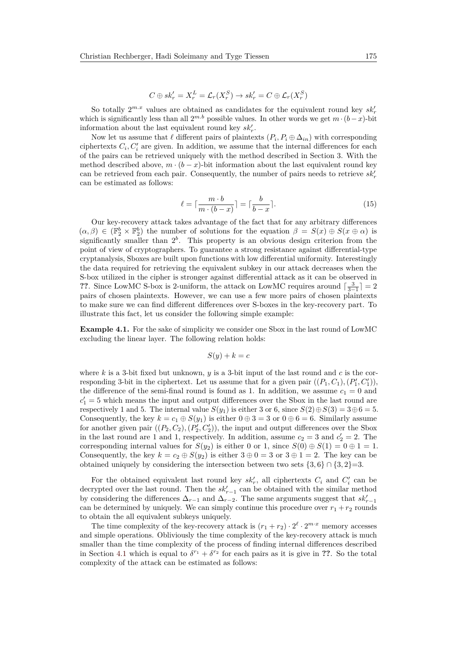$$
C \oplus sk'_r = X_r^L = \mathcal{L}_r(X_r^S) \rightarrow sk'_r = C \oplus \mathcal{L}_r(X_r^S)
$$

So totally  $2^{m.x}$  values are obtained as candidates for the equivalent round key  $sk'_r$ which is significantly less than all  $2^{m.b}$  possible values. In other words we get  $m \cdot (b-x)$ -bit information about the last equivalent round key  $sk'_r$ .

Now let us assume that  $\ell$  different pairs of plaintexts  $(P_i, P_i \oplus \Delta_{in})$  with corresponding ciphertexts  $C_i$ ,  $C'_i$  are given. In addition, we assume that the internal differences for each of the pairs can be retrieved uniquely with the method described in Section 3. With the method described above,  $m \cdot (b - x)$ -bit information about the last equivalent round key can be retrieved from each pair. Consequently, the number of pairs needs to retrieve  $sk'_r$ can be estimated as follows:

$$
\ell = \lceil \frac{m \cdot b}{m \cdot (b - x)} \rceil = \lceil \frac{b}{b - x} \rceil. \tag{15}
$$

Our key-recovery attack takes advantage of the fact that for any arbitrary differences  $(\alpha, \beta) \in (\mathbb{F}_2^b \times \mathbb{F}_2^b)$  the number of solutions for the equation  $\beta = S(x) \oplus S(x \oplus \alpha)$  is significantly smaller than  $2^b$ . This property is an obvious design criterion from the point of view of cryptographers. To guarantee a strong resistance against differential-type cryptanalysis, Sboxes are built upon functions with low differential uniformity. Interestingly the data required for retrieving the equivalent subkey in our attack decreases when the S-box utilized in the cipher is stronger against differential attack as it can be observed in **??**. Since LowMC S-box is 2-uniform, the attack on LowMC requires around  $\lceil \frac{3}{3-1} \rceil = 2$ pairs of chosen plaintexts. However, we can use a few more pairs of chosen plaintexts to make sure we can find different differences over S-boxes in the key-recovery part. To illustrate this fact, let us consider the following simple example:

**Example 4.1.** For the sake of simplicity we consider one Sbox in the last round of LowMC excluding the linear layer. The following relation holds:

$$
S(y) + k = c
$$

where *k* is a 3-bit fixed but unknown, *y* is a 3-bit input of the last round and *c* is the corresponding 3-bit in the ciphertext. Let us assume that for a given pair  $((P_1, C_1), (P'_1, C'_1)),$ the difference of the semi-final round is found as 1. In addition, we assume  $c_1 = 0$  and  $c_1' = 5$  which means the input and output differences over the Sbox in the last round are respectively 1 and 5. The internal value  $S(y_1)$  is either 3 or 6, since  $S(2) \oplus S(3) = 3 \oplus 6 = 5$ . Consequently, the key  $k = c_1 \oplus S(y_1)$  is either  $0 \oplus 3 = 3$  or  $0 \oplus 6 = 6$ . Similarly assume for another given pair  $((P_2, C_2), (P'_2, C'_2))$ , the input and output differences over the Sbox in the last round are 1 and 1, respectively. In addition, assume  $c_2 = 3$  and  $c'_2 = 2$ . The corresponding internal values for  $S(y_2)$  is either 0 or 1, since  $S(0) \oplus S(1) = 0 \oplus 1 = 1$ . Consequently, the key  $k = c_2 \oplus S(y_2)$  is either  $3 \oplus 0 = 3$  or  $3 \oplus 1 = 2$ . The key can be obtained uniquely by considering the intersection between two sets  $\{3, 6\} \cap \{3, 2\} = 3$ .

For the obtained equivalent last round key  $sk'_r$ , all ciphertexts  $C_i$  and  $C'_i$  can be decrypted over the last round. Then the  $sk'_{r-1}$  can be obtained with the similar method by considering the differences  $\Delta_{r-1}$  and  $\Delta_{r-2}$ . The same arguments suggest that  $sk'_{r-1}$ can be determined by uniquely. We can simply continue this procedure over  $r_1 + r_2$  rounds to obtain the all equivalent subkeys uniquely.

The time complexity of the key-recovery attack is  $(r_1 + r_2) \cdot 2^{\ell} \cdot 2^{m \cdot x}$  memory accesses and simple operations. Obliviously the time complexity of the key-recovery attack is much smaller than the time complexity of the process of finding internal differences described in Section [4.1](#page-10-1) which is equal to  $\delta^{r_1} + \delta^{r_2}$  for each pairs as it is give in ??. So the total complexity of the attack can be estimated as follows: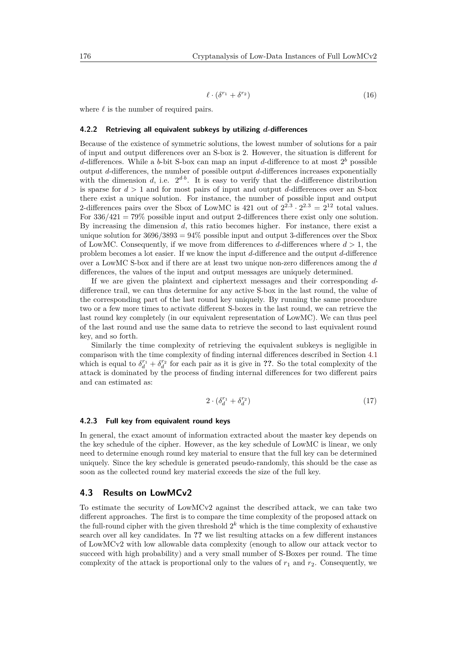$$
\ell \cdot (\delta^{r_1} + \delta^{r_2}) \tag{16}
$$

where  $\ell$  is the number of required pairs.

### **4.2.2 Retrieving all equivalent subkeys by utilizing** *d***-differences**

Because of the existence of symmetric solutions, the lowest number of solutions for a pair of input and output differences over an S-box is 2. However, the situation is different for d-differences. While a b-bit S-box can map an input d-difference to at most  $2<sup>b</sup>$  possible output *d*-differences, the number of possible output *d*-differences increases exponentially with the dimension  $d$ , i.e.  $2^{d \cdot b}$ . It is easy to verify that the *d*-difference distribution is sparse for *d >* 1 and for most pairs of input and output *d*-differences over an S-box there exist a unique solution. For instance, the number of possible input and output 2-differences pairs over the Sbox of LowMC is 421 out of  $2^{2.3} \cdot 2^{2.3} = 2^{12}$  total values. For 336*/*421 = 79% possible input and output 2-differences there exist only one solution. By increasing the dimension *d*, this ratio becomes higher. For instance, there exist a unique solution for  $3696/3893 = 94\%$  possible input and output 3-differences over the Sbox of LowMC. Consequently, if we move from differences to *d*-differences where *d >* 1, the problem becomes a lot easier. If we know the input *d*-difference and the output *d*-difference over a LowMC S-box and if there are at least two unique non-zero differences among the *d* differences, the values of the input and output messages are uniquely determined.

If we are given the plaintext and ciphertext messages and their corresponding *d*difference trail, we can thus determine for any active S-box in the last round, the value of the corresponding part of the last round key uniquely. By running the same procedure two or a few more times to activate different S-boxes in the last round, we can retrieve the last round key completely (in our equivalent representation of LowMC). We can thus peel of the last round and use the same data to retrieve the second to last equivalent round key, and so forth.

Similarly the time complexity of retrieving the equivalent subkeys is negligible in comparison with the time complexity of finding internal differences described in Section [4.1](#page-10-1) which is equal to  $\delta_d^{r_1} + \delta_d^{r_2}$  for each pair as it is give in **??**. So the total complexity of the attack is dominated by the process of finding internal differences for two different pairs and can estimated as:

$$
2 \cdot (\delta_d^{r_1} + \delta_d^{r_2}) \tag{17}
$$

#### **4.2.3 Full key from equivalent round keys**

In general, the exact amount of information extracted about the master key depends on the key schedule of the cipher. However, as the key schedule of LowMC is linear, we only need to determine enough round key material to ensure that the full key can be determined uniquely. Since the key schedule is generated pseudo-randomly, this should be the case as soon as the collected round key material exceeds the size of the full key.

# **4.3 Results on LowMCv2**

To estimate the security of LowMCv2 against the described attack, we can take two different approaches. The first is to compare the time complexity of the proposed attack on the full-round cipher with the given threshold  $2^k$  which is the time complexity of exhaustive search over all key candidates. In **??** we list resulting attacks on a few different instances of LowMCv2 with low allowable data complexity (enough to allow our attack vector to succeed with high probability) and a very small number of S-Boxes per round. The time complexity of the attack is proportional only to the values of  $r_1$  and  $r_2$ . Consequently, we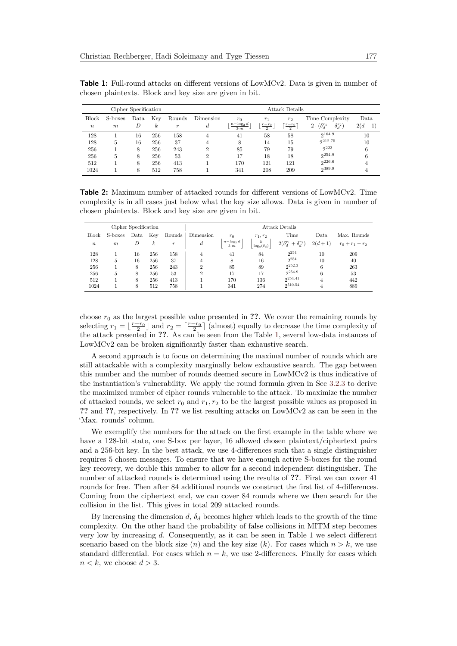|                  |         | Cipher Specification |     |        | Attack Details |                     |                           |                                 |                                                 |          |  |
|------------------|---------|----------------------|-----|--------|----------------|---------------------|---------------------------|---------------------------------|-------------------------------------------------|----------|--|
| <b>Block</b>     | S-boxes | Data                 | Key | Rounds | Dimension      | $r_0$               | $r_1$                     | r <sub>2</sub>                  | Time Complexity                                 | Data     |  |
| $\boldsymbol{n}$ | m       | D                    | ĸ   | $\,r$  | d              | $n-\log_2 d$<br>3·m | $r-r_0$<br>$\overline{2}$ | $\lceil \frac{r-r_0}{2} \rceil$ | $(\delta_d^{r_1} + \delta_d^{r_2})$<br>$2\cdot$ | $2(d+1)$ |  |
| 128              |         | 16                   | 256 | 158    | 4              | 41                  | 58                        | 58                              | 2164.9                                          | 10       |  |
| 128              | 5.      | 16                   | 256 | 37     | 4              | 8                   | 14                        | 15                              | 2212.75                                         | 10       |  |
| 256              |         | 8                    | 256 | 243    | $\Omega$       | 85                  | 79                        | 79                              | 223                                             |          |  |
| 256              | 5       | 8                    | 256 | 53     | $\Omega$       | 17                  | 18                        | 18                              | 2254.9                                          | 6        |  |
| 512              |         | 8                    | 256 | 413    |                | 170                 | 121                       | 121                             | 2226.6                                          |          |  |
| 1024             |         | 8                    | 512 | 758    |                | 341                 | 208                       | 209                             | 2389.9                                          |          |  |

<span id="page-14-0"></span>**Table 1:** Full-round attacks on different versions of LowMCv2. Data is given in number of chosen plaintexts. Block and key size are given in bit.

**Table 2:** Maximum number of attacked rounds for different versions of LowMCv2. Time complexity is in all cases just below what the key size allows. Data is given in number of chosen plaintexts. Block and key size are given in bit.

| Cipher Specification |                  |                |     |                  | Attack Details |                     |                         |                                    |          |                   |
|----------------------|------------------|----------------|-----|------------------|----------------|---------------------|-------------------------|------------------------------------|----------|-------------------|
| Block                | S-boxes          | Data           | Key | Rounds           | Dimension      | $r_0$               | $r_1, r_2$              | Time                               | Data     | Max. Rounds       |
| $\boldsymbol{n}$     | $\boldsymbol{m}$ | $\overline{D}$ | k   | $\boldsymbol{r}$ | d              | $n-\log_2 d$<br>3·m | k<br>$\log_2(\delta_d)$ | $2(\delta_d^{r_1}+\delta_d^{r_2})$ | $2(d+1)$ | $r_0 + r_1 + r_2$ |
| 128                  |                  | 16             | 256 | 158              | 4              | 41                  | 84                      | $2^{254}$                          | 10       | 209               |
| 128                  | 5                | 16             | 256 | 37               | 4              | 8                   | 16                      | 2254                               | 10       | 40                |
| 256                  |                  | 8              | 256 | 243              | $\overline{2}$ | 85                  | 89                      | $2^{252.3}$                        | 6        | 263               |
| 256                  | Ð                | 8              | 256 | 53               | $\overline{2}$ | 17                  | 17                      | $2^{254.9}$                        | 6        | 53                |
| 512                  |                  | 8              | 256 | 413              |                | 170                 | 136                     | 9254.41                            | 4        | 442               |
| 1024                 |                  |                | 512 | 758              |                | 341                 | 274                     | 2510.54                            |          | 889               |

choose  $r_0$  as the largest possible value presented in **??**. We cover the remaining rounds by selecting  $r_1 = \lfloor \frac{r-r_0}{2} \rfloor$  and  $r_2 = \lceil \frac{r-r_0}{2} \rceil$  (almost) equally to decrease the time complexity of the attack presented in **??**. As can be seen from the Table [1,](#page-14-0) several low-data instances of LowMCv2 can be broken significantly faster than exhaustive search.

A second approach is to focus on determining the maximal number of rounds which are still attackable with a complexity marginally below exhaustive search. The gap between this number and the number of rounds deemed secure in LowMCv2 is thus indicative of the instantiation's vulnerability. We apply the round formula given in Sec [3.2.3](#page-9-0) to derive the maximized number of cipher rounds vulnerable to the attack. To maximize the number of attacked rounds, we select  $r_0$  and  $r_1, r_2$  to be the largest possible values as proposed in **??** and **??**, respectively. In **??** we list resulting attacks on LowMCv2 as can be seen in the 'Max. rounds' column.

We exemplify the numbers for the attack on the first example in the table where we have a 128-bit state, one S-box per layer, 16 allowed chosen plaintext/ciphertext pairs and a 256-bit key. In the best attack, we use 4-differences such that a single distinguisher requires 5 chosen messages. To ensure that we have enough active S-boxes for the round key recovery, we double this number to allow for a second independent distinguisher. The number of attacked rounds is determined using the results of **??**. First we can cover 41 rounds for free. Then after 84 additional rounds we construct the first list of 4-differences. Coming from the ciphertext end, we can cover 84 rounds where we then search for the collision in the list. This gives in total 209 attacked rounds.

By increasing the dimension  $d$ ,  $\delta_d$  becomes higher which leads to the growth of the time complexity. On the other hand the probability of false collisions in MITM step becomes very low by increasing *d*. Consequently, as it can be seen in Table 1 we select different scenario based on the block size  $(n)$  and the key size  $(k)$ . For cases which  $n > k$ , we use standard differential. For cases which  $n = k$ , we use 2-differences. Finally for cases which  $n < k$ , we choose  $d > 3$ .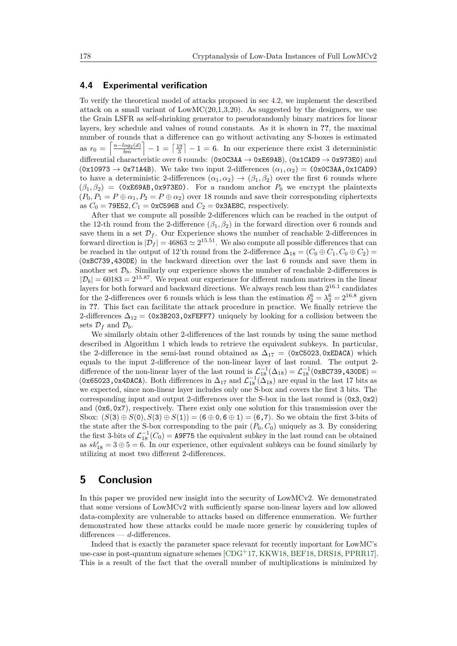### **4.4 Experimental verification**

To verify the theoretical model of attacks proposed in sec [4.2,](#page-11-1) we implement the described attack on a small variant of  $LowMC(20,1,3,20)$ . As suggested by the designers, we use the Grain LSFR as self-shrinking generator to pseudorandomly binary matrices for linear layers, key schedule and values of round constants. As it is shown in **??**, the maximal number of rounds that a difference can go without activating any S-boxes is estimated as  $r_0 = \left\lceil \frac{n - \log_2(d)}{bm} \right\rceil - 1 = \left\lceil \frac{19}{3} \right\rceil - 1 = 6$ . In our experience there exist 3 deterministic differential characteristic over 6 rounds:  $(0x0C3AA \rightarrow 0xE69AB)$ ,  $(0x1CAD9 \rightarrow 0x973E0)$  and  $(0x10973 \rightarrow 0x71A4B)$ . We take two input 2-differences  $(\alpha_1, \alpha_2) = (0x0C3AA, 0x1CAD9)$ to have a deterministic 2-differences  $(\alpha_1, \alpha_2) \rightarrow (\beta_1, \beta_2)$  over the first 6 rounds where  $(\beta_1, \beta_2)$  = (0xE69AB,0x973E0). For a random anchor  $P_0$  we encrypt the plaintexts  $(P_0, P_1 = P \oplus \alpha_1, P_2 = P \oplus \alpha_2)$  over 18 rounds and save their corresponding ciphertexts as  $C_0 = 79E52, C_1 = 0xC596B$  and  $C_2 = 0x3AESC$ , respectively.

After that we compute all possible 2-differences which can be reached in the output of the 12-th round from the 2-difference  $(\beta_1, \beta_2)$  in the forward direction over 6 rounds and save them in a set  $\mathcal{D}_f$ . Our Experience shows the number of reachable 2-differences in forward direction is  $|\mathcal{D}_f| = 46863 \simeq 2^{15.51}$ . We also compute all possible differences that can be reached in the output of 12'th round from the 2-difference  $\Delta_{18} = (C_0 \oplus C_1, C_0 \oplus C_2)$ (0xBC739,430DE) in the backward direction over the last 6 rounds and save them in another set  $\mathcal{D}_b$ . Similarly our experience shows the number of reachable 2-differences is  $|\mathcal{D}_b| = 60183 = 2^{15.87}$ . We repeat our experience for different random matrices in the linear layers for both forward and backward directions. We always reach less than 2 16*.*1 candidates for the 2-differences over 6 rounds which is less than the estimation  $\delta_2^6 = \lambda_2^6 = 2^{16.8}$  given in **??**. This fact can facilitate the attack procedure in practice. We finally retrieve the 2-differences  $\Delta_{12} = (0 \times 3B203, 0 \times FEFF7)$  uniquely by looking for a collision between the sets  $\mathcal{D}_f$  and  $\mathcal{D}_b$ .

We similarly obtain other 2-differences of the last rounds by using the same method described in Algorithm [1](#page-11-0) which leads to retrieve the equivalent subkeys. In particular, the 2-difference in the semi-last round obtained as  $\Delta_{17} = (0xC5023, 0xEDACA)$  which equals to the input 2-difference of the non-linear layer of last round. The output 2 difference of the non-linear layer of the last round is  $\mathcal{L}_{18}^{-1}(\Delta_{18}) = \mathcal{L}_{18}^{-1}(0 \times BC739, 430DE)$ (0x65023,0x4DACA). Both differences in  $\Delta_{17}$  and  $\mathcal{L}_{18}^{-1}(\tilde{\Delta}_{18})$  are equal in the last 17 bits as we expected, since non-linear layer includes only one S-box and covers the first 3 bits. The corresponding input and output 2-differences over the S-box in the last round is (0x3*,* 0x2) and (0x6*,* 0x7), respectively. There exist only one solution for this transmission over the Sbox:  $(S(3) \oplus S(0), S(3) \oplus S(1)) = (6 \oplus 0, 6 \oplus 1) = (6,7)$ . So we obtain the first 3-bits of the state after the S-box corresponding to the pair  $(P_0, C_0)$  uniquely as 3. By considering the first 3-bits of  $\mathcal{L}_{18}^{-1}(C_0) =$  A9F75 the equivalent subkey in the last round can be obtained as  $sk'_{18} = 3 \oplus 5 = 6$ . In our experience, other equivalent subkeys can be found similarly by utilizing at most two different 2-differences.

# **5 Conclusion**

In this paper we provided new insight into the security of LowMCv2. We demonstrated that some versions of LowMCv2 with sufficiently sparse non-linear layers and low allowed data-complexity are vulnerable to attacks based on difference enumeration. We further demonstrated how these attacks could be made more generic by considering tuples of differences — *d*-differences.

Indeed that is exactly the parameter space relevant for recently important for LowMC's use-case in post-quantum signature schemes [\[CDG](#page-17-4)<sup>+</sup>17, [KKW18,](#page-18-5) [BEF18,](#page-16-5) [DRS18,](#page-17-5) [PPRR17\]](#page-18-4). This is a result of the fact that the overall number of multiplications is minimized by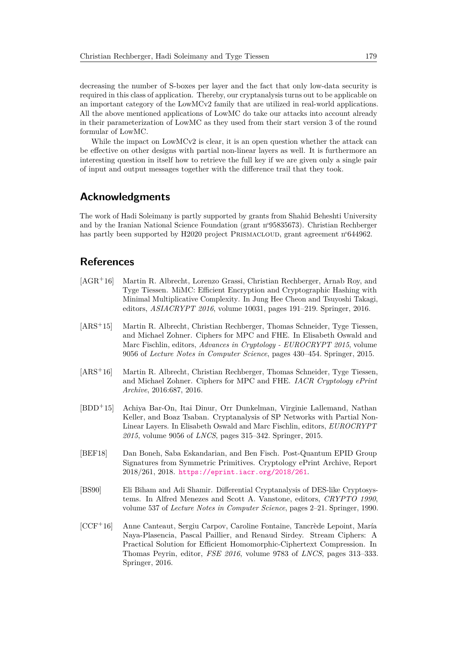decreasing the number of S-boxes per layer and the fact that only low-data security is required in this class of application. Thereby, our cryptanalysis turns out to be applicable on an important category of the LowMCv2 family that are utilized in real-world applications. All the above mentioned applications of LowMC do take our attacks into account already in their parameterization of LowMC as they used from their start version 3 of the round formular of LowMC.

While the impact on LowMCv2 is clear, it is an open question whether the attack can be effective on other designs with partial non-linear layers as well. It is furthermore an interesting question in itself how to retrieve the full key if we are given only a single pair of input and output messages together with the difference trail that they took.

# **Acknowledgments**

The work of Hadi Soleimany is partly supported by grants from Shahid Beheshti University and by the Iranian National Science Foundation (grant n◦95835673). Christian Rechberger has partly been supported by H2020 project PRISMACLOUD, grant agreement n<sup>∘644962.</sup>

# **References**

- <span id="page-16-2"></span>[AGR<sup>+</sup>16] Martin R. Albrecht, Lorenzo Grassi, Christian Rechberger, Arnab Roy, and Tyge Tiessen. MiMC: Efficient Encryption and Cryptographic Hashing with Minimal Multiplicative Complexity. In Jung Hee Cheon and Tsuyoshi Takagi, editors, *ASIACRYPT 2016*, volume 10031, pages 191–219. Springer, 2016.
- <span id="page-16-0"></span>[ARS<sup>+</sup>15] Martin R. Albrecht, Christian Rechberger, Thomas Schneider, Tyge Tiessen, and Michael Zohner. Ciphers for MPC and FHE. In Elisabeth Oswald and Marc Fischlin, editors, *Advances in Cryptology - EUROCRYPT 2015*, volume 9056 of *Lecture Notes in Computer Science*, pages 430–454. Springer, 2015.
- <span id="page-16-3"></span>[ARS<sup>+</sup>16] Martin R. Albrecht, Christian Rechberger, Thomas Schneider, Tyge Tiessen, and Michael Zohner. Ciphers for MPC and FHE. *IACR Cryptology ePrint Archive*, 2016:687, 2016.
- <span id="page-16-6"></span>[BDD<sup>+</sup>15] Achiya Bar-On, Itai Dinur, Orr Dunkelman, Virginie Lallemand, Nathan Keller, and Boaz Tsaban. Cryptanalysis of SP Networks with Partial Non-Linear Layers. In Elisabeth Oswald and Marc Fischlin, editors, *EUROCRYPT 2015*, volume 9056 of *LNCS*, pages 315–342. Springer, 2015.
- <span id="page-16-5"></span>[BEF18] Dan Boneh, Saba Eskandarian, and Ben Fisch. Post-Quantum EPID Group Signatures from Symmetric Primitives. Cryptology ePrint Archive, Report 2018/261, 2018. <https://eprint.iacr.org/2018/261>.
- <span id="page-16-4"></span>[BS90] Eli Biham and Adi Shamir. Differential Cryptanalysis of DES-like Cryptosystems. In Alfred Menezes and Scott A. Vanstone, editors, *CRYPTO 1990*, volume 537 of *Lecture Notes in Computer Science*, pages 2–21. Springer, 1990.
- <span id="page-16-1"></span>[CCF<sup>+</sup>16] Anne Canteaut, Sergiu Carpov, Caroline Fontaine, Tancrède Lepoint, María Naya-Plasencia, Pascal Paillier, and Renaud Sirdey. Stream Ciphers: A Practical Solution for Efficient Homomorphic-Ciphertext Compression. In Thomas Peyrin, editor, *FSE 2016*, volume 9783 of *LNCS*, pages 313–333. Springer, 2016.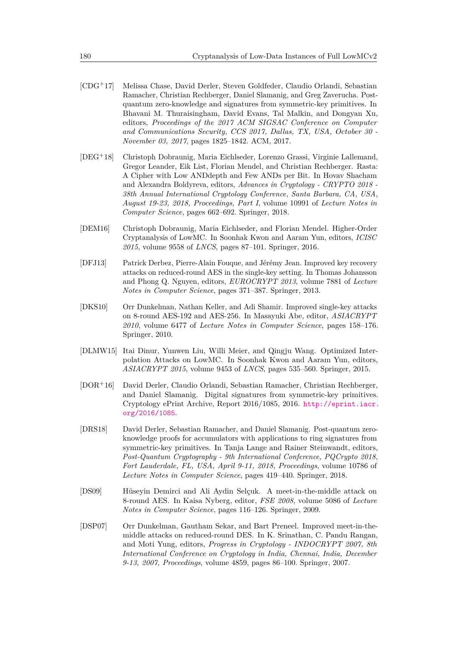- <span id="page-17-4"></span>[CDG<sup>+</sup>17] Melissa Chase, David Derler, Steven Goldfeder, Claudio Orlandi, Sebastian Ramacher, Christian Rechberger, Daniel Slamanig, and Greg Zaverucha. Postquantum zero-knowledge and signatures from symmetric-key primitives. In Bhavani M. Thuraisingham, David Evans, Tal Malkin, and Dongyan Xu, editors, *Proceedings of the 2017 ACM SIGSAC Conference on Computer and Communications Security, CCS 2017, Dallas, TX, USA, October 30 - November 03, 2017*, pages 1825–1842. ACM, 2017.
- <span id="page-17-0"></span>[DEG<sup>+</sup>18] Christoph Dobraunig, Maria Eichlseder, Lorenzo Grassi, Virginie Lallemand, Gregor Leander, Eik List, Florian Mendel, and Christian Rechberger. Rasta: A Cipher with Low ANDdepth and Few ANDs per Bit. In Hovav Shacham and Alexandra Boldyreva, editors, *Advances in Cryptology - CRYPTO 2018 - 38th Annual International Cryptology Conference, Santa Barbara, CA, USA, August 19-23, 2018, Proceedings, Part I*, volume 10991 of *Lecture Notes in Computer Science*, pages 662–692. Springer, 2018.
- <span id="page-17-2"></span>[DEM16] Christoph Dobraunig, Maria Eichlseder, and Florian Mendel. Higher-Order Cryptanalysis of LowMC. In Soonhak Kwon and Aaram Yun, editors, *ICISC 2015*, volume 9558 of *LNCS*, pages 87–101. Springer, 2016.
- <span id="page-17-7"></span>[DFJ13] Patrick Derbez, Pierre-Alain Fouque, and Jérémy Jean. Improved key recovery attacks on reduced-round AES in the single-key setting. In Thomas Johansson and Phong Q. Nguyen, editors, *EUROCRYPT 2013*, volume 7881 of *Lecture Notes in Computer Science*, pages 371–387. Springer, 2013.
- <span id="page-17-8"></span>[DKS10] Orr Dunkelman, Nathan Keller, and Adi Shamir. Improved single-key attacks on 8-round AES-192 and AES-256. In Masayuki Abe, editor, *ASIACRYPT 2010*, volume 6477 of *Lecture Notes in Computer Science*, pages 158–176. Springer, 2010.
- <span id="page-17-1"></span>[DLMW15] Itai Dinur, Yunwen Liu, Willi Meier, and Qingju Wang. Optimized Interpolation Attacks on LowMC. In Soonhak Kwon and Aaram Yun, editors, *ASIACRYPT 2015*, volume 9453 of *LNCS*, pages 535–560. Springer, 2015.
- <span id="page-17-3"></span>[DOR<sup>+</sup>16] David Derler, Claudio Orlandi, Sebastian Ramacher, Christian Rechberger, and Daniel Slamanig. Digital signatures from symmetric-key primitives. Cryptology ePrint Archive, Report 2016/1085, 2016. [http://eprint.iacr.](http://eprint.iacr.org/2016/1085) [org/2016/1085](http://eprint.iacr.org/2016/1085).
- <span id="page-17-5"></span>[DRS18] David Derler, Sebastian Ramacher, and Daniel Slamanig. Post-quantum zeroknowledge proofs for accumulators with applications to ring signatures from symmetric-key primitives. In Tanja Lange and Rainer Steinwandt, editors, *Post-Quantum Cryptography - 9th International Conference, PQCrypto 2018, Fort Lauderdale, FL, USA, April 9-11, 2018, Proceedings*, volume 10786 of *Lecture Notes in Computer Science*, pages 419–440. Springer, 2018.
- <span id="page-17-9"></span>[DS09] Hüseyin Demirci and Ali Aydin Selçuk. A meet-in-the-middle attack on 8-round AES. In Kaisa Nyberg, editor, *FSE 2008*, volume 5086 of *Lecture Notes in Computer Science*, pages 116–126. Springer, 2009.
- <span id="page-17-6"></span>[DSP07] Orr Dunkelman, Gautham Sekar, and Bart Preneel. Improved meet-in-themiddle attacks on reduced-round DES. In K. Srinathan, C. Pandu Rangan, and Moti Yung, editors, *Progress in Cryptology - INDOCRYPT 2007, 8th International Conference on Cryptology in India, Chennai, India, December 9-13, 2007, Proceedings*, volume 4859, pages 86–100. Springer, 2007.